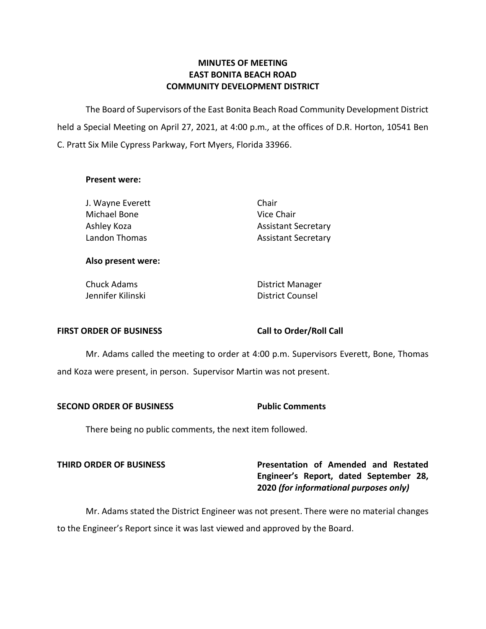## **MINUTES OF MEETING EAST BONITA BEACH ROAD COMMUNITY DEVELOPMENT DISTRICT**

 The Board of Supervisors of the East Bonita Beach Road Community Development District held a Special Meeting on April 27, 2021, at 4:00 p.m*.,* at the offices of D.R. Horton, 10541 Ben C. Pratt Six Mile Cypress Parkway, Fort Myers, Florida 33966.

### **Present were:**

J. Wayne Everett Chair Michael Bone **Vice Chair** Ashley Koza **Ashley Koza** Assistant Secretary Landon Thomas **Assistant Secretary** 

### **Also present were:**

Chuck Adams **District Manager** Jennifer Kilinski **District Counsel** 

### FIRST ORDER OF BUSINESS Call to Order/Roll Call

 Mr. Adams called the meeting to order at 4:00 p.m. Supervisors Everett, Bone, Thomas and Koza were present, in person. Supervisor Martin was not present.

### **SECOND ORDER OF BUSINESS Public Comments**

There being no public comments, the next item followed.

 **THIRD ORDER OF BUSINESS Presentation of Amended and Restated Engineer's Report, dated September 28,**  **2020** *(for informational purposes only)* 

 Mr. Adams stated the District Engineer was not present. There were no material changes to the Engineer's Report since it was last viewed and approved by the Board.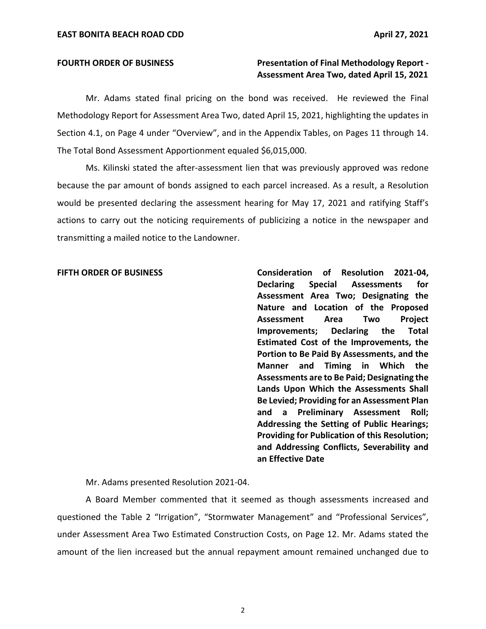### **FOURTH ORDER OF BUSINESS FOURTH ORDER OF BUSINESS** Presentation of Final Methodology Report - **Assessment Area Two, dated April 15, 2021**

 Mr. Adams stated final pricing on the bond was received. He reviewed the Final Methodology Report for Assessment Area Two, dated April 15, 2021, highlighting the updates in Section 4.1, on Page 4 under "Overview", and in the Appendix Tables, on Pages 11 through 14. The Total Bond Assessment Apportionment equaled \$6,015,000.

 Ms. Kilinski stated the after-assessment lien that was previously approved was redone because the par amount of bonds assigned to each parcel increased. As a result, a Resolution would be presented declaring the assessment hearing for May 17, 2021 and ratifying Staff's actions to carry out the noticing requirements of publicizing a notice in the newspaper and transmitting a mailed notice to the Landowner.

 **FIFTH ORDER OF BUSINESS Consideration of Resolution 2021-04, Declaring Assessment Area Two; Designating the Nature and Location of the Proposed**  Declaring  **Estimated Cost of the Improvements, the Portion to Be Paid By Assessments, and the Manner and Timing in Which the Assessments are to Be Paid; Designating the Lands Upon Which the Assessments Shall Be Levied; Providing for an Assessment Plan and a Preliminary Assessment Roll; Addressing the Setting of Public Hearings; Providing for Publication of this Resolution; and Addressing Conflicts, Severability and an Effective Date**  Special Assessments for **Assessment Area Two Project Improvements; Declaring the Total** 

Mr. Adams presented Resolution 2021-04.

 A Board Member commented that it seemed as though assessments increased and under Assessment Area Two Estimated Construction Costs, on Page 12. Mr. Adams stated the amount of the lien increased but the annual repayment amount remained unchanged due to questioned the Table 2 "Irrigation", "Stormwater Management" and "Professional Services",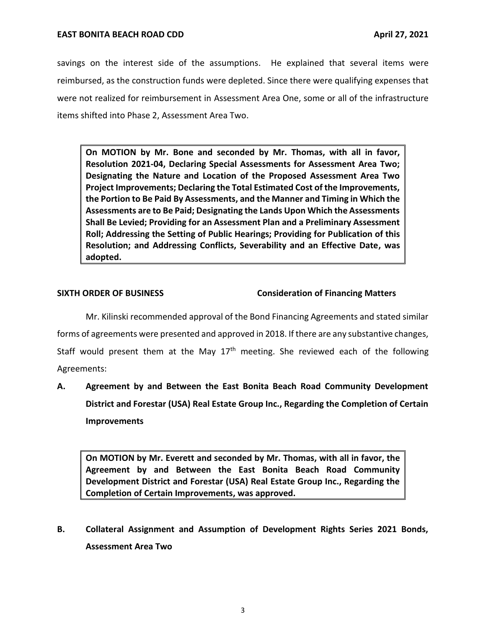### **EAST BONITA BEACH ROAD CDD**

 savings on the interest side of the assumptions. He explained that several items were were not realized for reimbursement in Assessment Area One, some or all of the infrastructure items shifted into Phase 2, Assessment Area Two. reimbursed, as the construction funds were depleted. Since there were qualifying expenses that

 **On MOTION by Mr. Bone and seconded by Mr. Thomas, with all in favor, Resolution 2021-04, Declaring Special Assessments for Assessment Area Two; Designating the Nature and Location of the Proposed Assessment Area Two Project Improvements; Declaring the Total Estimated Cost of the Improvements, the Portion to Be Paid By Assessments, and the Manner and Timing in Which the Assessments are to Be Paid; Designating the Lands Upon Which the Assessments Shall Be Levied; Providing for an Assessment Plan and a Preliminary Assessment Roll; Addressing the Setting of Public Hearings; Providing for Publication of this Resolution; and Addressing Conflicts, Severability and an Effective Date, was adopted.** 

### **SIXTH ORDER OF BUSINESS** Consideration of Financing Matters

 Mr. Kilinski recommended approval of the Bond Financing Agreements and stated similar forms of agreements were presented and approved in 2018. If there are any substantive changes, Agreements: Staff would present them at the May  $17<sup>th</sup>$  meeting. She reviewed each of the following

 **A. Agreement by and Between the East Bonita Beach Road Community Development District and Forestar (USA) Real Estate Group Inc., Regarding the Completion of Certain Improvements** 

 **On MOTION by Mr. Everett and seconded by Mr. Thomas, with all in favor, the Agreement by and Between the East Bonita Beach Road Community Development District and Forestar (USA) Real Estate Group Inc., Regarding the Completion of Certain Improvements, was approved.** 

 **B. Collateral Assignment and Assumption of Development Rights Series 2021 Bonds, Assessment Area Two**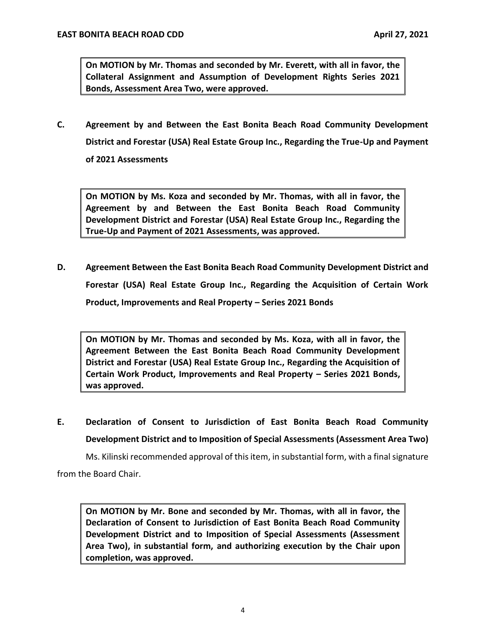**On MOTION by Mr. Thomas and seconded by Mr. Everett, with all in favor, the Collateral Assignment and Assumption of Development Rights Series 2021 Bonds, Assessment Area Two, were approved.** 

 **C. Agreement by and Between the East Bonita Beach Road Community Development District and Forestar (USA) Real Estate Group Inc., Regarding the True-Up and Payment of 2021 Assessments** 

 **On MOTION by Ms. Koza and seconded by Mr. Thomas, with all in favor, the Agreement by and Between the East Bonita Beach Road Community Development District and Forestar (USA) Real Estate Group Inc., Regarding the True-Up and Payment of 2021 Assessments, was approved.** 

 **D. Agreement Between the East Bonita Beach Road Community Development District and Forestar (USA) Real Estate Group Inc., Regarding the Acquisition of Certain Work Product, Improvements and Real Property – Series 2021 Bonds** 

 **On MOTION by Mr. Thomas and seconded by Ms. Koza, with all in favor, the Agreement Between the East Bonita Beach Road Community Development District and Forestar (USA) Real Estate Group Inc., Regarding the Acquisition of Certain Work Product, Improvements and Real Property – Series 2021 Bonds, was approved.** 

 **E. Declaration of Consent to Jurisdiction of East Bonita Beach Road Community Development District and to Imposition of Special Assessments (Assessment Area Two)** 

Ms. Kilinski recommended approval of this item, in substantial form, with a final signature from the Board Chair.

 **On MOTION by Mr. Bone and seconded by Mr. Thomas, with all in favor, the Declaration of Consent to Jurisdiction of East Bonita Beach Road Community Development District and to Imposition of Special Assessments (Assessment Area Two), in substantial form, and authorizing execution by the Chair upon completion, was approved.**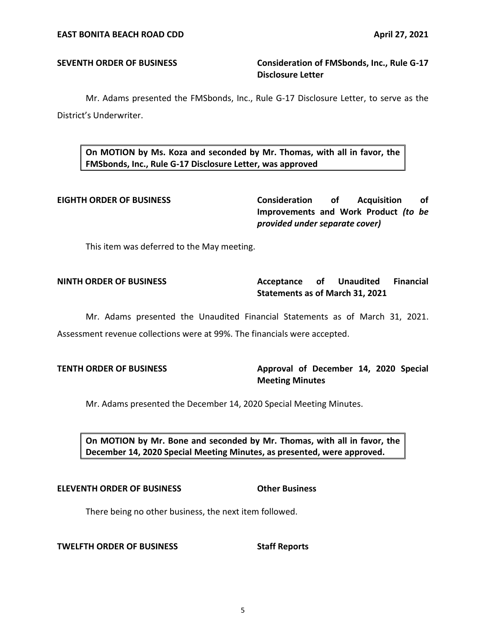### **SEVENTH ORDER OF BUSINESS Consideration of FMSbonds, Inc., Rule G-17 Disclosure Letter**

 Mr. Adams presented the FMSbonds, Inc., Rule G-17 Disclosure Letter, to serve as the District's Underwriter.

 **On MOTION by Ms. Koza and seconded by Mr. Thomas, with all in favor, the FMSbonds, Inc., Rule G-17 Disclosure Letter, was approved** 

**Consideration Improvements and Work Product** *(to be*  **EIGHTH ORDER OF BUSINESS Consideration of Acquisition of**  *provided under separate cover)* 

This item was deferred to the May meeting.

### Acceptance of  **Statements as of March 31, 2021 NINTH ORDER OF BUSINESS Acceptance of Unaudited Financial**

 Mr. Adams presented the Unaudited Financial Statements as of March 31, 2021. Assessment revenue collections were at 99%. The financials were accepted.

**TENTH ORDER OF BUSINESS Approval of December 14, 2020 Special Meeting Minutes** 

Mr. Adams presented the December 14, 2020 Special Meeting Minutes.

 **On MOTION by Mr. Bone and seconded by Mr. Thomas, with all in favor, the December 14, 2020 Special Meeting Minutes, as presented, were approved.** 

### **ELEVENTH ORDER OF BUSINESS Other Business**

There being no other business, the next item followed.

**TWELFTH ORDER OF BUSINESS Staff Reports**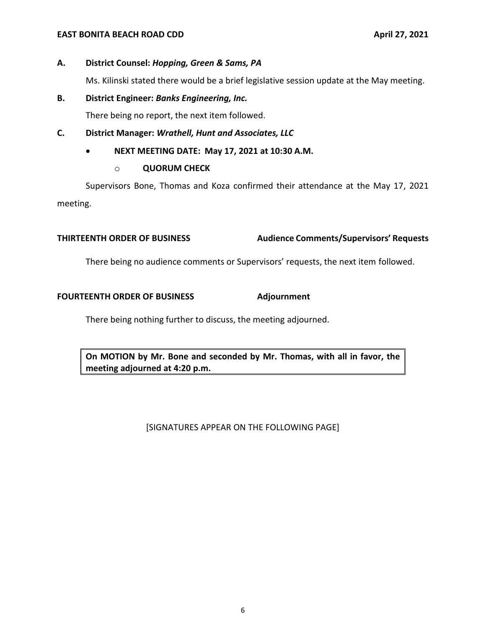### **EAST BONITA BEACH ROAD CDD**

## **A. District Counsel:** *Hopping, Green & Sams, PA*

Ms. Kilinski stated there would be a brief legislative session update at the May meeting.

### **B. District Engineer:** *Banks Engineering, Inc.*

There being no report, the next item followed.

### **C. District Manager:** *Wrathell, Hunt and Associates, LLC*

 • **NEXT MEETING DATE: May 17, 2021 at 10:30 A.M.** 

### o **QUORUM CHECK**

 Supervisors Bone, Thomas and Koza confirmed their attendance at the May 17, 2021 meeting.

### **THIRTEENTH ORDER OF BUSINESS Audience Comments/Supervisors' Requests**

There being no audience comments or Supervisors' requests, the next item followed.

### FOURTEENTH ORDER OF BUSINESS Adjournment

There being nothing further to discuss, the meeting adjourned.

 **On MOTION by Mr. Bone and seconded by Mr. Thomas, with all in favor, the meeting adjourned at 4:20 p.m.** 

[SIGNATURES APPEAR ON THE FOLLOWING PAGE]